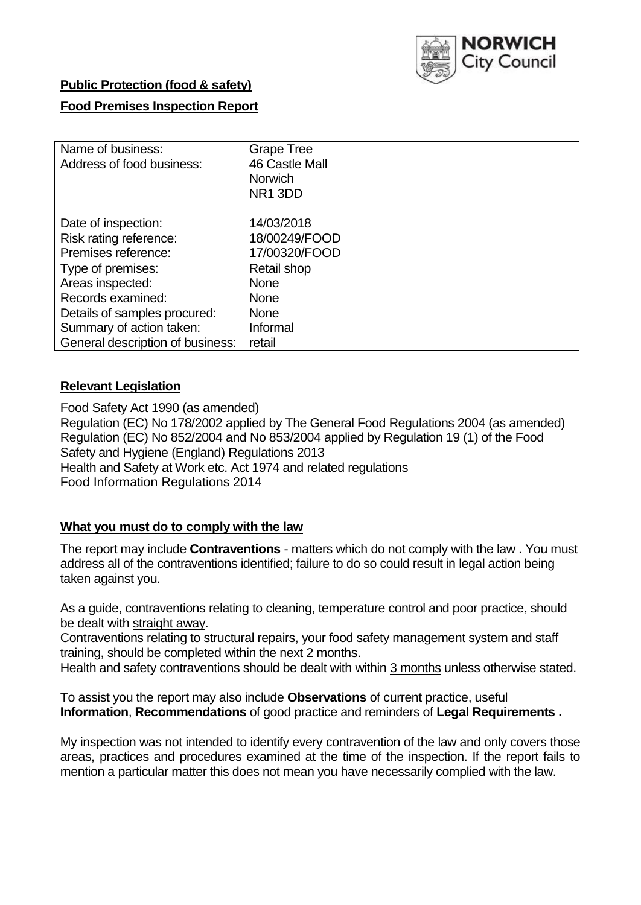

# **Public Protection (food & safety)**

# **Food Premises Inspection Report**

| Name of business:<br>Address of food business: | Grape Tree<br>46 Castle Mall<br><b>Norwich</b><br>NR <sub>1</sub> 3DD |
|------------------------------------------------|-----------------------------------------------------------------------|
| Date of inspection:                            | 14/03/2018                                                            |
| Risk rating reference:                         | 18/00249/FOOD                                                         |
| Premises reference:                            | 17/00320/FOOD                                                         |
| Type of premises:                              | Retail shop                                                           |
| Areas inspected:                               | <b>None</b>                                                           |
| Records examined:                              | <b>None</b>                                                           |
| Details of samples procured:                   | <b>None</b>                                                           |
| Summary of action taken:                       | Informal                                                              |
| General description of business:               | retail                                                                |

### **Relevant Legislation**

Food Safety Act 1990 (as amended) Regulation (EC) No 178/2002 applied by The General Food Regulations 2004 (as amended) Regulation (EC) No 852/2004 and No 853/2004 applied by Regulation 19 (1) of the Food Safety and Hygiene (England) Regulations 2013 Health and Safety at Work etc. Act 1974 and related regulations Food Information Regulations 2014

# **What you must do to comply with the law**

The report may include **Contraventions** - matters which do not comply with the law . You must address all of the contraventions identified; failure to do so could result in legal action being taken against you.

As a guide, contraventions relating to cleaning, temperature control and poor practice, should be dealt with straight away.

Contraventions relating to structural repairs, your food safety management system and staff training, should be completed within the next 2 months.

Health and safety contraventions should be dealt with within 3 months unless otherwise stated.

To assist you the report may also include **Observations** of current practice, useful **Information**, **Recommendations** of good practice and reminders of **Legal Requirements .**

My inspection was not intended to identify every contravention of the law and only covers those areas, practices and procedures examined at the time of the inspection. If the report fails to mention a particular matter this does not mean you have necessarily complied with the law.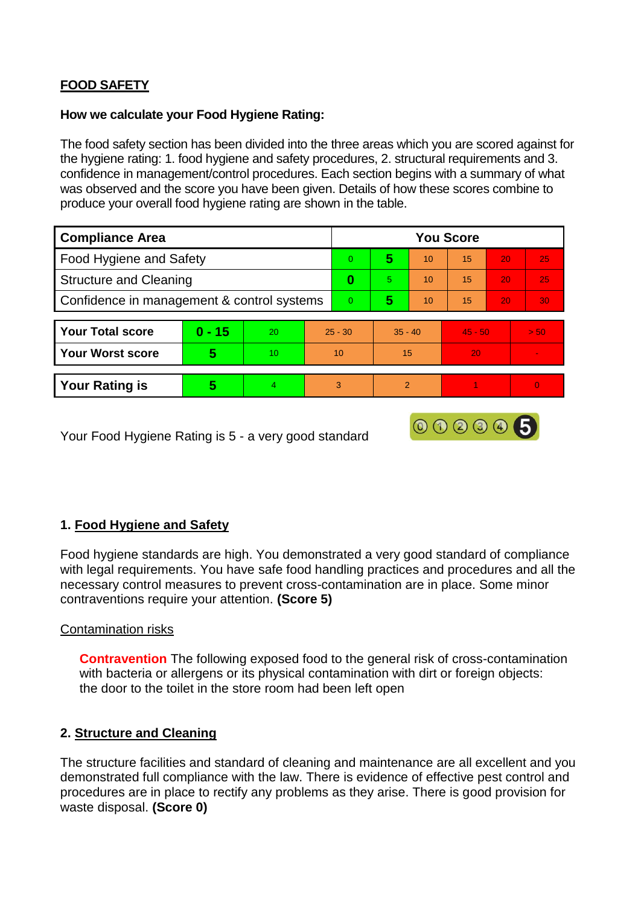# **FOOD SAFETY**

### **How we calculate your Food Hygiene Rating:**

The food safety section has been divided into the three areas which you are scored against for the hygiene rating: 1. food hygiene and safety procedures, 2. structural requirements and 3. confidence in management/control procedures. Each section begins with a summary of what was observed and the score you have been given. Details of how these scores combine to produce your overall food hygiene rating are shown in the table.

| <b>Compliance Area</b>                     |          |    |           | <b>You Score</b> |                |    |           |    |                 |  |  |
|--------------------------------------------|----------|----|-----------|------------------|----------------|----|-----------|----|-----------------|--|--|
| Food Hygiene and Safety                    |          |    |           | $\Omega$         | 5              | 10 | 15        | 20 | 25              |  |  |
| <b>Structure and Cleaning</b>              |          |    |           | 0                | 5.             | 10 | 15        | 20 | 25              |  |  |
| Confidence in management & control systems |          |    |           | $\Omega$         | 5              | 10 | 15        | 20 | 30 <sup>°</sup> |  |  |
|                                            |          |    |           |                  |                |    |           |    |                 |  |  |
| <b>Your Total score</b>                    | $0 - 15$ | 20 | $25 - 30$ |                  | $35 - 40$      |    | $45 - 50$ |    | > 50            |  |  |
| <b>Your Worst score</b>                    | 5        | 10 | 10        |                  | 15             |    | 20        |    | $\sim$          |  |  |
|                                            |          |    |           |                  |                |    |           |    |                 |  |  |
| <b>Your Rating is</b>                      | 5        |    | 3         |                  | $\overline{2}$ |    |           |    | $\Omega$        |  |  |

Your Food Hygiene Rating is 5 - a very good standard

# **1. Food Hygiene and Safety**

Food hygiene standards are high. You demonstrated a very good standard of compliance with legal requirements. You have safe food handling practices and procedures and all the necessary control measures to prevent cross-contamination are in place. Some minor contraventions require your attention. **(Score 5)**

000006

### Contamination risks

**Contravention** The following exposed food to the general risk of cross-contamination with bacteria or allergens or its physical contamination with dirt or foreign objects: the door to the toilet in the store room had been left open

### **2. Structure and Cleaning**

The structure facilities and standard of cleaning and maintenance are all excellent and you demonstrated full compliance with the law. There is evidence of effective pest control and procedures are in place to rectify any problems as they arise. There is good provision for waste disposal. **(Score 0)**